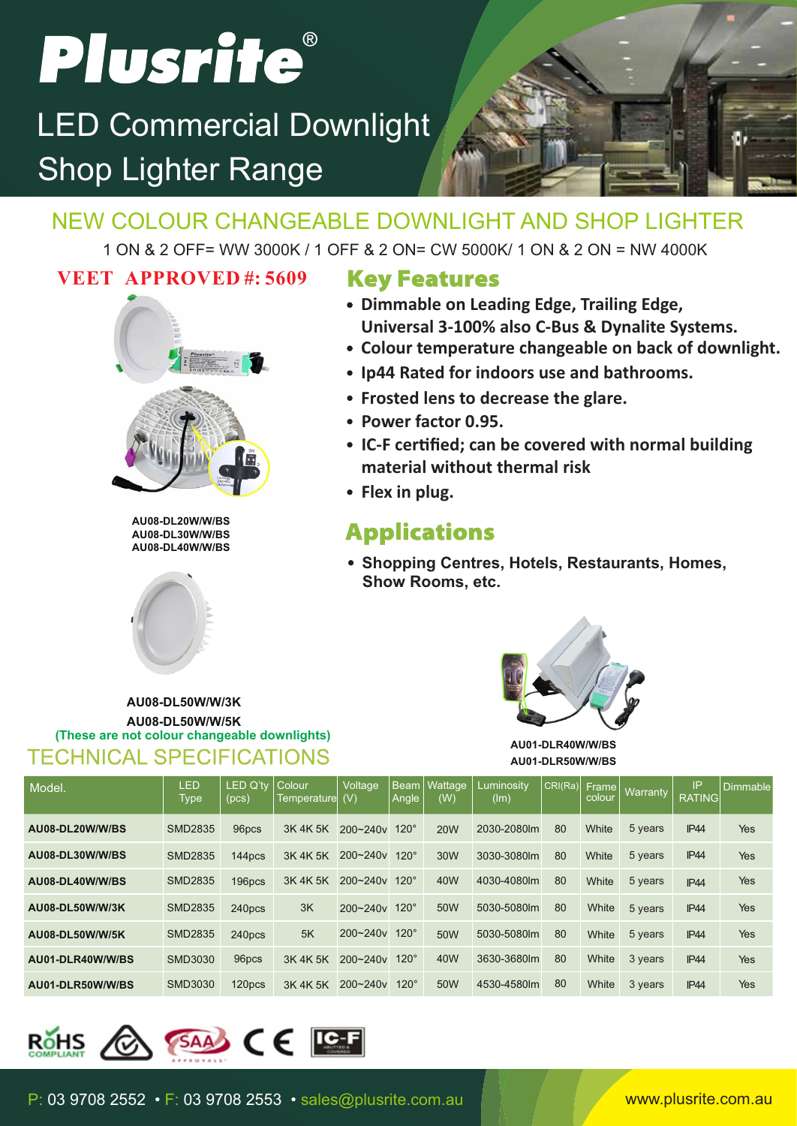# Plusrite®

### Shop Lighter Range LED Commercial Downlight



### NEW COLOUR CHANGEABLE DOWNLIGHT AND SHOP LIGHTER

1 ON & 2 OFF= WW 3000K / 1 OFF & 2 ON= CW 5000K/ 1 ON & 2 ON = NW 4000K

### **VEET APPROVED #: 5609**



**AU08-DL20W/W/BS AU08-DL30W/W/BS AU08-DL40W/W/BS**



TECHNICAL SPECIFICATIONS

**AU08-DL50W/W/3K AU08-DL50W/W/5K**

**(These are not colour changeable downlights)**

### **Key Features**

- **Dimmable on Leading Edge, Trailing Edge, Universal 3-100% also C-Bus & Dynalite Systems.**
- **Colour temperature changeable on back of downlight.**
- **Ip44 Rated for indoors use and bathrooms.**
- **Frosted lens to decrease the glare.**
- **Power factor 0.95.**
- **IC-F cerfied; can be covered with normal building material without thermal risk**
- **Flex in plug.**

### **Applications**

**Shopping Centres, Hotels, Restaurants, Homes, Show Rooms, etc.**



**AU01-DLR40W/W/BS AU01-DLR50W/W/BS**

| Model.           | <b>LED</b><br>Type | <b>LED Q'tv</b><br>(pcs) | Colour<br>Temperaturel | <b>Voltage</b><br>(V) | Angle       | l Beam I Wattage<br>(W) | Luminositv<br>(lm) | CRI(Ra) | Frame<br>colour | Warranty | IP<br><b>RATING</b> | Dimmable |
|------------------|--------------------|--------------------------|------------------------|-----------------------|-------------|-------------------------|--------------------|---------|-----------------|----------|---------------------|----------|
| AU08-DL20W/W/BS  | <b>SMD2835</b>     | 96pcs                    | 3K 4K 5K               | $200 - 240v$          | $120^\circ$ | <b>20W</b>              | 2030-2080lm        | 80      | White           | 5 years  | <b>IP44</b>         | Yes      |
| AU08-DL30W/W/BS  | <b>SMD2835</b>     | 144pcs                   | 3K 4K 5K               | $200 - 240v$          | $120^\circ$ | 30W                     | 3030-3080lm        | 80      | White           | 5 years  | IP <sub>44</sub>    | Yes      |
| AU08-DL40W/W/BS  | <b>SMD2835</b>     | 196pcs                   | 3K 4K 5K               | $200 - 240v$          | $120^\circ$ | 40W                     | 4030-4080lm        | 80      | White           | 5 years  | <b>IP44</b>         | Yes      |
| AU08-DL50W/W/3K  | <b>SMD2835</b>     | 240pcs                   | 3K                     | $200 - 240v$ 120°     |             | 50W                     | 5030-5080lm        | 80      | White           | 5 years  | <b>IP44</b>         | Yes      |
| AU08-DL50W/W/5K  | <b>SMD2835</b>     | 240pcs                   | 5K                     | $200 - 240v$          | $120^\circ$ | 50W                     | 5030-5080lm        | 80      | White           | 5 years  | IP44                | Yes      |
| AU01-DLR40W/W/BS | SMD3030            | 96pcs                    | 3K 4K 5K               | 200~240v              | $120^\circ$ | 40 <sub>W</sub>         | 3630-3680lm        | 80      | White           | 3 years  | <b>IP44</b>         | Yes      |
| AU01-DLR50W/W/BS | SMD3030            | 120pcs                   | 3K 4K 5K               | 200~240y              | $120^\circ$ | 50W                     | 4530-4580lm        | 80      | White           | 3 years  | <b>IP44</b>         | Yes      |